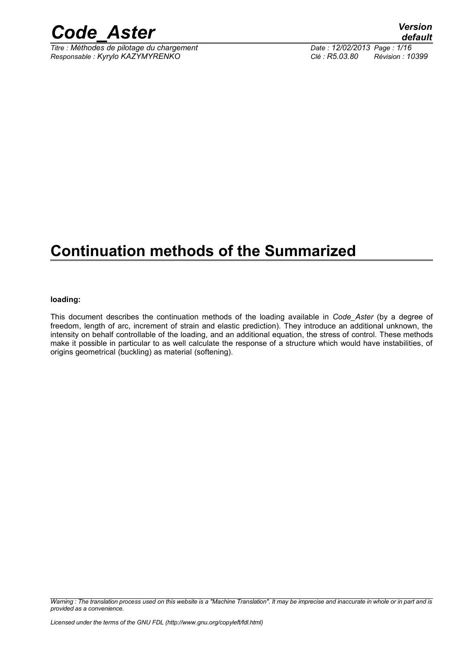

*Titre : Méthodes de pilotage du chargement Date : 12/02/2013 Page : 1/16 Responsable : Kyrylo KAZYMYRENKO Clé : R5.03.80 Révision : 10399*

## **Continuation methods of the Summarized**

#### **loading:**

This document describes the continuation methods of the loading available in *Code\_Aster* (by a degree of freedom, length of arc, increment of strain and elastic prediction). They introduce an additional unknown, the intensity on behalf controllable of the loading, and an additional equation, the stress of control. These methods make it possible in particular to as well calculate the response of a structure which would have instabilities, of origins geometrical (buckling) as material (softening).

*Warning : The translation process used on this website is a "Machine Translation". It may be imprecise and inaccurate in whole or in part and is provided as a convenience.*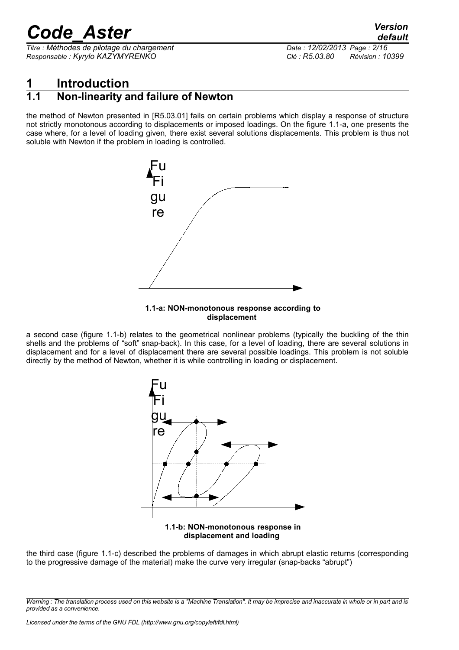*Titre : Méthodes de pilotage du chargement Date : 12/02/2013 Page : 2/16 Responsable : Kyrylo KAZYMYRENKO Clé : R5.03.80 Révision : 10399*

### **1 Introduction**

### **1.1 Non-linearity and failure of Newton**

the method of Newton presented in [R5.03.01] fails on certain problems which display a response of structure not strictly monotonous according to displacements or imposed loadings. On the figure [1.1-a,](#page-1-0) one presents the case where, for a level of loading given, there exist several solutions displacements. This problem is thus not soluble with Newton if the problem in loading is controlled.



### <span id="page-1-0"></span>**displacement**

a second case (figure [1.1-b\)](#page-1-1) relates to the geometrical nonlinear problems (typically the buckling of the thin shells and the problems of "soft" snap-back). In this case, for a level of loading, there are several solutions in displacement and for a level of displacement there are several possible loadings. This problem is not soluble directly by the method of Newton, whether it is while controlling in loading or displacement.



<span id="page-1-1"></span>the third case (figure [1.1-c\)](#page-2-0) described the problems of damages in which abrupt elastic returns (corresponding to the progressive damage of the material) make the curve very irregular (snap-backs "abrupt")

*Warning : The translation process used on this website is a "Machine Translation". It may be imprecise and inaccurate in whole or in part and is provided as a convenience.*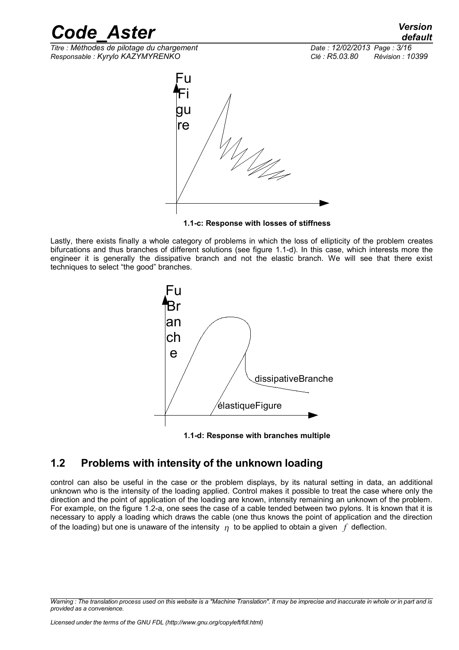*Titre : Méthodes de pilotage du chargement Date : 12/02/2013 Page : 3/16 Responsable : Kyrylo KAZYMYRENKO Clé : R5.03.80 Révision : 10399*



<span id="page-2-0"></span>

Lastly, there exists finally a whole category of problems in which the loss of ellipticity of the problem creates bifurcations and thus branches of different solutions (see figure [1.1-d\)](#page-2-1). In this case, which interests more the engineer it is generally the dissipative branch and not the elastic branch. We will see that there exist techniques to select "the good" branches.



<span id="page-2-1"></span>**1.1-d: Response with branches multiple**

### **1.2 Problems with intensity of the unknown loading**

control can also be useful in the case or the problem displays, by its natural setting in data, an additional unknown who is the intensity of the loading applied. Control makes it possible to treat the case where only the direction and the point of application of the loading are known, intensity remaining an unknown of the problem. For example, on the figure [1.2-a,](#page-3-0) one sees the case of a cable tended between two pylons. It is known that it is necessary to apply a loading which draws the cable (one thus knows the point of application and the direction of the loading) but one is unaware of the intensity  $\eta$  to be applied to obtain a given *f* deflection.

*Warning : The translation process used on this website is a "Machine Translation". It may be imprecise and inaccurate in whole or in part and is provided as a convenience.*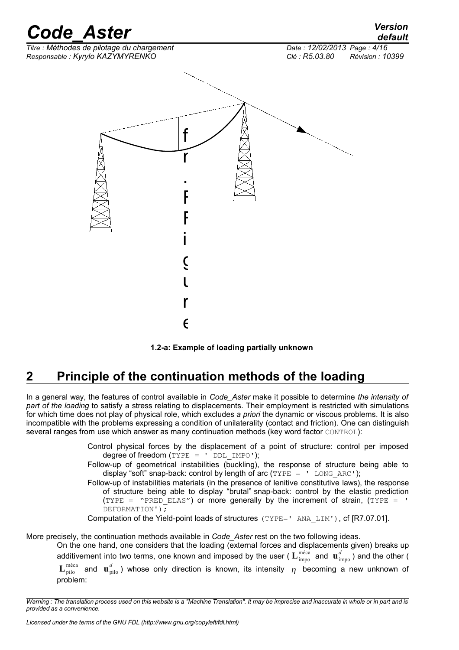

<span id="page-3-0"></span>

### **2 Principle of the continuation methods of the loading**

In a general way, the features of control available in *Code\_Aster* make it possible to determine *the intensity of part of the loading* to satisfy a stress relating to displacements. Their employment is restricted with simulations for which time does not play of physical role, which excludes *a priori* the dynamic or viscous problems. It is also incompatible with the problems expressing a condition of unilaterality (contact and friction). One can distinguish several ranges from use which answer as many continuation methods (key word factor CONTROL):

> Control physical forces by the displacement of a point of structure: control per imposed degree of freedom  $(TYPE = ' DDL IMPO');$

> Follow-up of geometrical instabilities (buckling), the response of structure being able to display "soft" snap-back: control by length of arc  $(TYPE = '$  LONG ARC');

> Follow-up of instabilities materials (in the presence of lenitive constitutive laws), the response of structure being able to display "brutal" snap-back: control by the elastic prediction  $(TYPE = "PRED ELAS")$  or more generally by the increment of strain,  $(TYPE = 'PSE)$ DEFORMATION');

Computation of the Yield-point loads of structures (TYPE=' ANA\_LIM'), cf [R7.07.01].

More precisely, the continuation methods available in *Code\_Aster* rest on the two following ideas. On the one hand, one considers that the loading (external forces and displacements given) breaks up

additivement into two terms, one known and imposed by the user (  $L_{\rm impo}^{\rm meta}$  and  $\rm ~u_{\rm impo}^{d}$  ) and the other (  ${\bf L}^{\rm méca}_{\rm pilo}$  and  ${\bf u}^d_{\rm pilo}$  ) whose only direction is known, its intensity  $\,\eta\,$  becoming a new unknown of problem:

*Warning : The translation process used on this website is a "Machine Translation". It may be imprecise and inaccurate in whole or in part and is provided as a convenience.*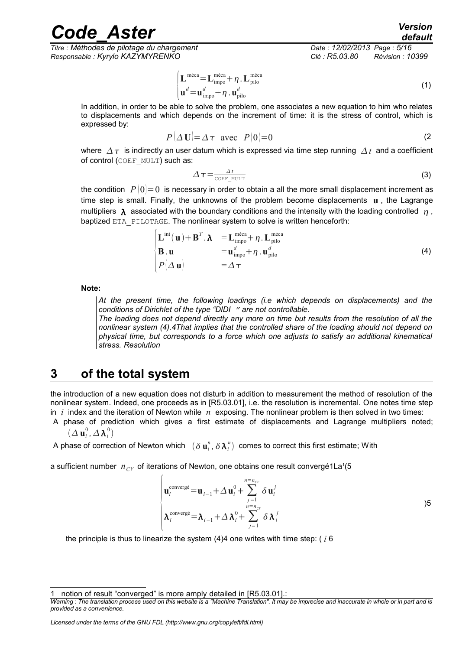*Titre : Méthodes de pilotage du chargement Date : 12/02/2013 Page : 5/16 Responsable : Kyrylo KAZYMYRENKO Clé : R5.03.80 Révision : 10399*

<span id="page-4-0"></span>*default*

$$
\begin{cases}\n\mathbf{L}^{\text{méca}} = \mathbf{L}_{\text{impo}}^{\text{méca}} + \eta \cdot \mathbf{L}_{\text{pilo}}^{\text{méca}} \\
\mathbf{u}^d = \mathbf{u}_{\text{impo}}^d + \eta \cdot \mathbf{u}_{\text{pilo}}^d\n\end{cases}
$$
\n(1)

In addition, in order to be able to solve the problem, one associates a new equation to him who relates to displacements and which depends on the increment of time: it is the stress of control, which is expressed by:

$$
P(\Delta \mathbf{U}) = \Delta \tau \text{ avec } P(0) = 0 \tag{2}
$$

where  $\Delta \tau$  is indirectly an user datum which is expressed via time step running  $\Delta t$  and a coefficient of control (COEF\_MULT) such as:

$$
\Delta \tau = \frac{\Delta t}{\text{COEF MULT}} \tag{3}
$$

the condition  $P(0)=0$  is necessary in order to obtain a all the more small displacement increment as time step is small. Finally, the unknowns of the problem become displacements **u** , the Lagrange multipliers  $\lambda$  associated with the boundary conditions and the intensity with the loading controlled  $\eta$ , baptized ETA\_PILOTAGE. The nonlinear system to solve is written henceforth:

$$
\begin{cases}\n\mathbf{L}^{\text{int}}(\mathbf{u}) + \mathbf{B}^T \cdot \mathbf{\lambda} & = \mathbf{L}_{\text{impo}}^{\text{méca}} + \eta \cdot \mathbf{L}_{\text{pilo}}^{\text{méca}} \\
\mathbf{B} \cdot \mathbf{u} & = \mathbf{u}_{\text{impo}}^d + \eta \cdot \mathbf{u}_{\text{pilo}}^d \\
P(\Delta \mathbf{u}) & = \Delta \tau\n\end{cases}
$$
\n(4)

**Note:**

*At the present time, the following loadings (i.e which depends on displacements) and the conditions of Dirichlet of the type "DIDI " are not controllable.* 

*The loading does not depend directly any more on time but results from the resolution of all the nonlinear system (4)[.4T](#page-4-0)hat implies that the controlled share of the loading should not depend on physical time, but corresponds to a force which one adjusts to satisfy an additional kinematical stress. Resolution* 

### **3 of the total system**

the introduction of a new equation does not disturb in addition to measurement the method of resolution of the nonlinear system. Indeed, one proceeds as in [R5.03.01], i.e. the resolution is incremental. One notes time step in *i* index and the iteration of Newton while *n* exposing. The nonlinear problem is then solved in two times:

A phase of prediction which gives a first estimate of displacements and Lagrange multipliers noted;  $(\Delta \mathbf{u}^{0}_{i}, \Delta \bm{\lambda}^{0}_{i})$ 

A phase of correction of Newton which  $\;$  (  $\delta\, {\bf u}^n_i$  ,  $\delta\, \pmb{\lambda}^n_i)\;$  comes to correct this first estimate; With

a sufficient number  $n_{CV}$  of iterations of Newton, one obtains one result convergé[1](#page-4-1)La<sup>1</sup>(5

$$
\begin{cases}\n\mathbf{u}_{i}^{\text{converg}\acute{e}} = \mathbf{u}_{i-1} + \Delta \mathbf{u}_{i}^{0} + \sum_{j=1}^{n=n_{CV}} \delta \mathbf{u}_{i}^{j} \\
\lambda_{i}^{\text{converg}\acute{e}} = \lambda_{i-1} + \Delta \lambda_{i}^{0} + \sum_{j=1}^{n=n_{CV}} \delta \lambda_{i}^{j}\n\end{cases}
$$

the principle is thus to linearize the system (4[\)4](#page-4-0) one writes with time step: ( *i* 6

 $\sqrt{ }$ 

<span id="page-4-1"></span>notion of result "converged" is more amply detailed in [R5.03.01].:

*Warning : The translation process used on this website is a "Machine Translation". It may be imprecise and inaccurate in whole or in part and is provided as a convenience.*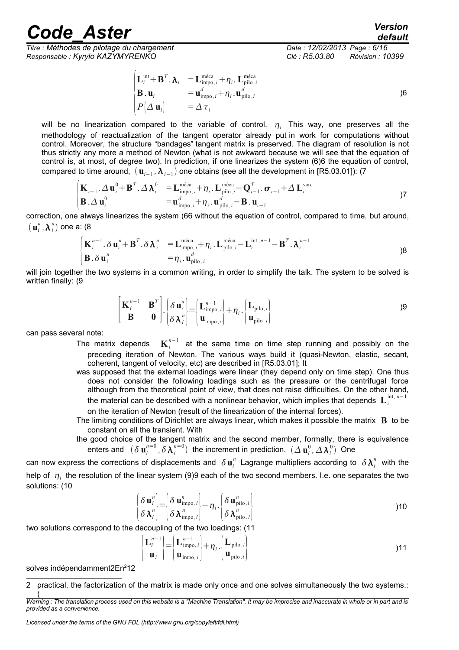*Titre : Méthodes de pilotage du chargement Date : 12/02/2013 Page : 6/16 Responsable : Kyrylo KAZYMYRENKO Clé : R5.03.80 Révision : 10399*

<span id="page-5-1"></span><span id="page-5-0"></span>

$$
\begin{cases}\n\mathbf{L}_i^{\text{int}} + \mathbf{B}^T \cdot \mathbf{\lambda}_i &= \mathbf{L}_{\text{impo},i}^{\text{méca}} + \eta_i \cdot \mathbf{L}_{\text{pilo},i}^{\text{méca}} \\
\mathbf{B} \cdot \mathbf{u}_i &= \mathbf{u}_{\text{impo},i}^d + \eta_i \cdot \mathbf{u}_{\text{pilo},i}^d \\
P(\Delta \mathbf{u}_i) &= \Delta \tau_i\n\end{cases}
$$

will be no linearization compared to the variable of control.  $\eta_i$  This way, one preserves all the methodology of reactualization of the tangent operator already put in work for computations without control. Moreover, the structure "bandages" tangent matrix is preserved. The diagram of resolution is not thus strictly any more a method of Newton (what is not awkward because we will see that the equation of control is, at most, of degree two). In prediction, if one linearizes the system (6[\)6](#page-5-1) the equation of control, compared to time around,  $(\textbf{u}_{i-1},\bm{\lambda}_{i-1})$  one obtains (see all the development in [R5.03.01]): (7

$$
\begin{cases}\n\mathbf{K}_{i-1} \cdot \Delta \mathbf{u}_{i}^{0} + \mathbf{B}^{T} \cdot \Delta \mathbf{\lambda}_{i}^{0} & = \mathbf{L}_{\text{impo}, i}^{\text{méca}} + \eta_{i} \cdot \mathbf{L}_{\text{pilo}, i}^{\text{méca}} - \mathbf{Q}_{i-1}^{T} \cdot \boldsymbol{\sigma}_{i-1} + \Delta \mathbf{L}_{i}^{\text{var}} \\
\mathbf{B} \cdot \Delta \mathbf{u}_{i}^{0} & = \mathbf{u}_{\text{impo}, i}^{d} + \eta_{i} \cdot \mathbf{u}_{\text{pilo}, i}^{d} - \mathbf{B} \cdot \mathbf{u}_{i-1}\n\end{cases}
$$

correction, one always linearizes the system ([66](#page-5-1) without the equation of control, compared to time, but around,  $(\mathbf{u}_i^n, \mathbf{\lambda}_i^n)$  one a: (8)

$$
\begin{cases}\n\mathbf{K}_{i}^{n-1} \cdot \delta \mathbf{u}_{i}^{n} + \mathbf{B}^{T} \cdot \delta \mathbf{\lambda}_{i}^{n} & = \mathbf{L}_{\text{impo}, i}^{\text{méca}} + \eta_{i} \cdot \mathbf{L}_{\text{pilo}, i}^{\text{méca}} - \mathbf{L}_{i}^{\text{int}, n-1} - \mathbf{B}^{T} \cdot \mathbf{\lambda}_{i}^{n-1} \\
\mathbf{B} \cdot \delta \mathbf{u}_{i}^{n} & = \eta_{i} \cdot \mathbf{u}_{\text{pilo}, i}^{d}\n\end{cases}
$$

will join together the two systems in a common writing, in order to simplify the talk. The system to be solved is written finally: (9

$$
\begin{bmatrix} \mathbf{K}_{i}^{n-1} & \mathbf{B}^{T} \\ \mathbf{B} & \mathbf{0} \end{bmatrix} \cdot \begin{bmatrix} \delta \mathbf{u}_{i}^{n} \\ \delta \lambda_{i}^{n} \end{bmatrix} = \begin{bmatrix} \mathbf{L}_{\text{impo},i}^{n-1} \\ \mathbf{u}_{\text{impo},i} \end{bmatrix} + \eta_{i} \cdot \begin{bmatrix} \mathbf{L}_{\text{pilo},i} \\ \mathbf{u}_{\text{pilo},i} \end{bmatrix}
$$

can pass several note:

The matrix depends  $\mathbf{K}^{n-1}_i$  at the same time on time step running and possibly on the preceding iteration of Newton. The various ways build it (quasi-Newton, elastic, secant, coherent, tangent of velocity, etc) are described in [R5.03.01]; It

was supposed that the external loadings were linear (they depend only on time step). One thus does not consider the following loadings such as the pressure or the centrifugal force although from the theoretical point of view, that does not raise difficulties. On the other hand, the material can be described with a nonlinear behavior, which implies that depends  $\mathbf{L}_i^{\text{int},\,n-1}$ on the iteration of Newton (result of the linearization of the internal forces).

The limiting conditions of Dirichlet are always linear, which makes it possible the matrix **B** to be constant on all the transient. With

the good choice of the tangent matrix and the second member, formally, there is equivalence enters and  $(\delta \mathbf{u}^{n=0}_i, \delta \lambda^{n=0}_i)$  the increment in prediction.  $(\Delta \mathbf{u}^0_i, \Delta \lambda^0_i)$  One

can now express the corrections of displacements and  $\delta\textbf{u}_i^n$  Lagrange multipliers according to  $\delta\bm{\lambda}_i^n$  with the help of  $\vert \eta_i \vert$  the resolution of the linear system (9[\)9](#page-5-0) each of the two second members. I.e. one separates the two solutions: (10

$$
\begin{cases}\n\delta \mathbf{u}_{i}^{n} = \begin{bmatrix}\n\delta \mathbf{u}_{\text{impo},i}^{n} \\
\delta \lambda_{i}^{n}\n\end{bmatrix} + \eta_{i} \cdot \begin{bmatrix}\n\delta \mathbf{u}_{\text{pilo},i}^{n} \\
\delta \lambda_{\text{pilo},i}^{n}\n\end{bmatrix}
$$
\n(10)

two solutions correspond to the decoupling of the two loadings: (11

$$
\begin{Bmatrix} \mathbf{L}_i^{n-1} \\ \mathbf{u}_i \end{Bmatrix} = \begin{Bmatrix} \mathbf{L}_{\text{impo},i}^{n-1} \\ \mathbf{u}_{\text{impo},i} \end{Bmatrix} + \eta_i \cdot \begin{Bmatrix} \mathbf{L}_{\text{pilo},i} \\ \mathbf{u}_{\text{pilo},i} \end{Bmatrix}
$$

solves indépendamment[2](#page-5-2)En<sup>2</sup>12

<span id="page-5-2"></span><sup>2</sup> practical, the factorization of the matrix is made only once and one solves simultaneously the two systems.: (

*Warning : The translation process used on this website is a "Machine Translation". It may be imprecise and inaccurate in whole or in part and is provided as a convenience.*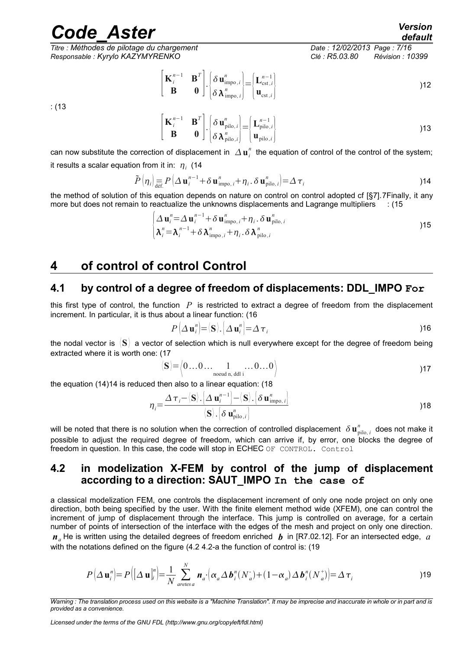*Titre : Méthodes de pilotage du chargement Date : 12/02/2013 Page : 7/16 Responsable : Kyrylo KAZYMYRENKO Clé : R5.03.80 Révision : 10399*

<span id="page-6-0"></span>*default*

$$
\begin{bmatrix} \mathbf{K}_i^{n-1} & \mathbf{B}^T \\ \mathbf{B} & \mathbf{0} \end{bmatrix} \cdot \begin{bmatrix} \delta \mathbf{u}_{\text{impo},i}^n \\ \delta \lambda_{\text{impo},i}^n \end{bmatrix} = \begin{bmatrix} \mathbf{L}_{\text{cst},i}^{n-1} \\ \mathbf{u}_{\text{cst},i} \end{bmatrix}
$$

: (13

$$
\begin{bmatrix} \mathbf{K}_i^{n-1} & \mathbf{B}^T \\ \mathbf{B} & \mathbf{0} \end{bmatrix} \cdot \begin{bmatrix} \delta \mathbf{u}_{\text{pilo},i}^n \\ \delta \lambda_{\text{pilo},i}^n \end{bmatrix} = \begin{bmatrix} \mathbf{L}_{\text{pilo},i}^{n-1} \\ \mathbf{u}_{\text{pilo},i} \end{bmatrix}
$$
 (13)

can now substitute the correction of displacement in  $\varDelta\textbf{u}_i^n$  the equation of control of the control of the system; it results a scalar equation from it in:  $\vert \eta_i \vert$  (14

$$
\tilde{P}\left(\eta_{i}\right) \underset{\text{def.}}{=} P\left(\Delta \mathbf{u}_{i}^{n-1} + \delta \mathbf{u}_{\text{impo},i}^{n} + \eta_{i} \cdot \delta \mathbf{u}_{\text{pilo},i}^{n}\right) = \Delta \tau_{i}
$$
\n(14)

the method of solution of this equation depends on nature on control on control adopted cf [§7].[7F](#page-6-1)inally, it any more but does not remain to reactualize the unknowns displacements and Lagrange multipliers : (15

$$
\begin{cases}\n\Delta \mathbf{u}_{i}^{n} = \Delta \mathbf{u}_{i}^{n-1} + \delta \mathbf{u}_{\text{impo},i}^{n} + \eta_{i} \cdot \delta \mathbf{u}_{\text{pilo},i}^{n} \\
\lambda_{i}^{n} = \lambda_{i}^{n-1} + \delta \lambda_{\text{impo},i}^{n} + \eta_{i} \cdot \delta \lambda_{\text{pilo},i}^{n}\n\end{cases}
$$
 (15)

### <span id="page-6-1"></span>**4 of control of control Control**

### **4.1 by control of a degree of freedom of displacements: DDL\_IMPO For**

this first type of control, the function *P* is restricted to extract a degree of freedom from the displacement increment. In particular, it is thus about a linear function: (16

$$
P\left(\Delta \mathbf{u}_{i}^{n}\right) = \langle \mathbf{S} \rangle \cdot \left[\Delta \mathbf{u}_{i}^{n}\right] = \Delta \boldsymbol{\tau}_{i}
$$

the nodal vector is 〈**S**〉 a vector of selection which is null everywhere except for the degree of freedom being extracted where it is worth one: (17

$$
\langle \mathbf{S} \rangle = \langle 0 \dots 0 \dots 1 \dots 0 \dots 0 \rangle
$$
 17

the equation (14[\)14](#page-6-0) is reduced then also to a linear equation: (18

$$
\eta_i = \frac{\Delta \tau_i - \langle \mathbf{S} \rangle \cdot \left[ \Delta \mathbf{u}_i^{n-1} \right] - \langle \mathbf{S} \rangle \cdot \left[ \delta \mathbf{u}_{\text{impo},i}^n \right]}{\langle \mathbf{S} \rangle \cdot \left[ \delta \mathbf{u}_{\text{pilo},i}^n \right]}
$$
 (18)

will be noted that there is no solution when the correction of controlled displacement  $\delta\,\bm u_{\rm pilo,\,i}^n$  does not make it possible to adjust the required degree of freedom, which can arrive if, by error, one blocks the degree of freedom in question. In this case, the code will stop in ECHEC OF CONTROL. Control

#### **4.2 in modelization X-FEM by control of the jump of displacement according to a direction: SAUT\_IMPO In the case of**

<span id="page-6-2"></span>a classical modelization FEM, one controls the displacement increment of only one node project on only one direction, both being specified by the user. With the finite element method wide (XFEM), one can control the increment of jump of displacement through the interface. This jump is controlled on average, for a certain number of points of intersection of the interface with the edges of the mesh and project on only one direction.  $n_a$  He is written using the detailed degrees of freedom enriched  $b$  in [R7.02.12]. For an intersected edge,  $a$ with the notations defined on the figure (4.2 [4.2-a](#page-7-0) the function of control is: (19

$$
P\left(\Delta \mathbf{u}_{i}^{n}\right)=P\left(\left[\Delta \mathbf{u}_{i}^{n}\right]=\frac{1}{N}\sum_{\text{aretes a}}^{N} \mathbf{n}_{a}\cdot\left(\alpha_{a} \Delta \mathbf{b}_{i}^{n}(N_{a}^{-})+(1-\alpha_{a}) \Delta \mathbf{b}_{i}^{n}(N_{a}^{+})\right)=\Delta \tau_{i} \tag{19}
$$

*Licensed under the terms of the GNU FDL (http://www.gnu.org/copyleft/fdl.html)*

*Warning : The translation process used on this website is a "Machine Translation". It may be imprecise and inaccurate in whole or in part and is provided as a convenience.*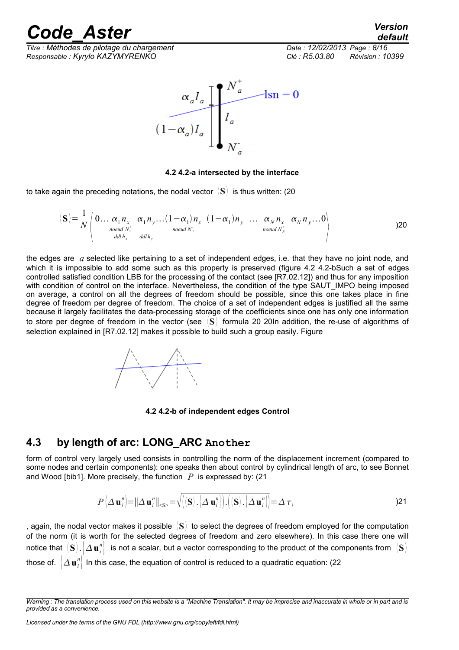<span id="page-7-1"></span>*default*

*Titre : Méthodes de pilotage du chargement Date : 12/02/2013 Page : 8/16 Responsable : Kyrylo KAZYMYRENKO Clé : R5.03.80 Révision : 10399*



#### <span id="page-7-0"></span>**4.2 4.2-a intersected by the interface**

to take again the preceding notations, the nodal vector 〈**S**〉 is thus written: (20

$$
\langle \mathbf{S} \rangle = \frac{1}{N} \left\langle 0 \dots \underset{\substack{n \text{ odd } N_1^+ \\ \text{ odd } h_x}}{\alpha_1 n_x} \alpha_1 n_y \dots (1 - \alpha_1) n_x \quad (1 - \alpha_1) n_y \quad \dots \quad \underset{\substack{n \text{ odd } N_x^+}}{\alpha_N n_x} \quad \alpha_N n_y \dots 0 \right\rangle
$$

the edges are *a* selected like pertaining to a set of independent edges, i.e. that they have no joint node, and which it is impossible to add some such as this property is preserved (figure 4.2 [4.2-bS](#page-7-2)uch a set of edges controlled satisfied condition LBB for the processing of the contact (see [R7.02.12]) and thus for any imposition with condition of control on the interface. Nevertheless, the condition of the type SAUT\_IMPO being imposed on average, a control on all the degrees of freedom should be possible, since this one takes place in fine degree of freedom per degree of freedom. The choice of a set of independent edges is justified all the same because it largely facilitates the data-processing storage of the coefficients since one has only one information to store per degree of freedom in the vector (see 〈**S**〉 formula 20 [20I](#page-7-1)n addition, the re-use of algorithms of selection explained in [R7.02.12] makes it possible to build such a group easily. Figure



<span id="page-7-2"></span>**4.2 4.2-b of independent edges Control**

#### **4.3 by length of arc: LONG\_ARC Another**

form of control very largely used consists in controlling the norm of the displacement increment (compared to some nodes and certain components): one speaks then about control by cylindrical length of arc, to see Bonnet and Wood [bib1]. More precisely, the function *P* is expressed by: (21

$$
P\left(\Delta \mathbf{u}_{i}^{n}\right) = \left\|\Delta \mathbf{u}_{i}^{n}\right\|_{\leq s} = \sqrt{\left|\left\langle \mathbf{S}\right\rangle \right| \left\langle \Delta \mathbf{u}_{i}^{n}\right| \left| \right| \left\langle \left\langle \mathbf{S}\right\rangle \right| \left\langle \Delta \mathbf{u}_{i}^{n}\right| \right|} = \Delta \tau_{i}
$$
\n(21)

, again, the nodal vector makes it possible 〈**S**〉 to select the degrees of freedom employed for the computation of the norm (it is worth for the selected degrees of freedom and zero elsewhere). In this case there one will notice that  $\langle {\bf S} \rangle$  . $\big| \Delta\,{\bf u}_i^n\big|$  is not a scalar, but a vector corresponding to the product of the components from  $\,\langle {\bf S} \rangle$ those of.  $\left\vert \varDelta\mathbf{u}_{i}^{n}\right\vert$  In this case, the equation of control is reduced to a quadratic equation: (22

*Warning : The translation process used on this website is a "Machine Translation". It may be imprecise and inaccurate in whole or in part and is provided as a convenience.*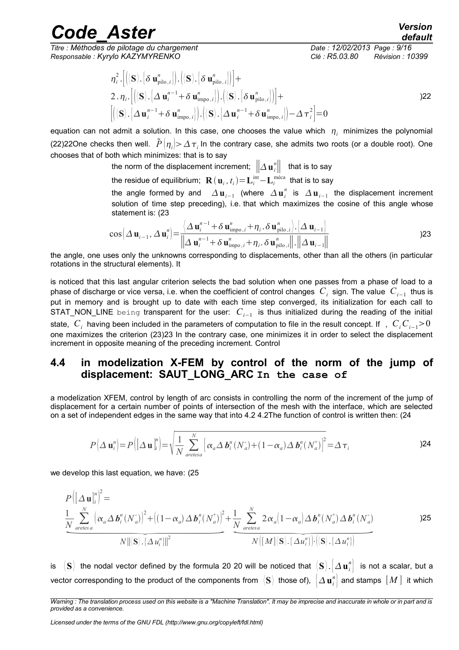*Titre : Méthodes de pilotage du chargement Date : 12/02/2013 Page : 9/16 Responsable : Kyrylo KAZYMYRENKO Clé : R5.03.80 Révision : 10399*

<span id="page-8-1"></span><span id="page-8-0"></span>*default*

$$
\eta_i^2 \cdot \left[ \left\langle \langle \mathbf{S} \rangle . \left\{ \delta \mathbf{u}_{\text{pilo},i}^n \right\} \right\rangle . \left\langle \langle \mathbf{S} \rangle . \left\{ \delta \mathbf{u}_{\text{pilo},i}^n \right\} \right\rangle \right] +
$$
  
2. 
$$
\eta_i \cdot \left[ \left\langle \langle \mathbf{S} \rangle . \left\{ \Delta \mathbf{u}_i^{n-1} + \delta \mathbf{u}_{\text{impo},i}^n \right\} \right\rangle . \left\langle \langle \mathbf{S} \rangle . \left\{ \delta \mathbf{u}_{\text{pilo},i}^n \right\} \right\rangle \right] +
$$
  

$$
\left[ \left\langle \langle \mathbf{S} \rangle . \left\{ \Delta \mathbf{u}_i^{n-1} + \delta \mathbf{u}_{\text{impo},i}^n \right\} \right\rangle . \left\langle \langle \mathbf{S} \rangle . \left\{ \Delta \mathbf{u}_i^{n-1} + \delta \mathbf{u}_{\text{impo},i}^n \right\} \right\rangle - \Delta \tau_i^2 \right] = 0
$$

equation can not admit a solution. In this case, one chooses the value which  $\eta_i$  minimizes the polynomial (22[\)22O](#page-8-1)ne checks then well.  $\tilde{P}\big(\eta_i|>\Delta\,\tau_i$  ln the contrary case, she admits two roots (or a double root). One chooses that of both which minimizes: that is to say

<span id="page-8-2"></span>the norm of the displacement increment;  $\left\| \varDelta\,\mathbf{u}_\emph{i}\right\| \,\,\,$  that is to say

the residue of equilibrium;  $\mathbf{R}\left(\mathbf{u}_{i}, t_{i}\right)\!=\!\mathbf{L}_{i}^{\text{int}}\!\!-\!\mathbf{L}_{i}^{\text{m\'eca}}$  that is to say

the angle formed by and  $\|\Delta\mathbf{u}_{i-1}\|$  (where  $\|\Delta\mathbf{u}_{i}^n\|$  is  $\|\Delta\mathbf{u}_{i-1}\|$  the displacement increment solution of time step preceding), i.e. that which maximizes the cosine of this angle whose statement is: (23

$$
\cos\left(\Delta \mathbf{u}_{i-1}, \Delta \mathbf{u}_{i}^{n}\right) = \frac{\left\langle \Delta \mathbf{u}_{i}^{n-1} + \delta \mathbf{u}_{\text{impo},i}^{n} + \eta_{i} \cdot \delta \mathbf{u}_{\text{pilo},i}^{n}\right\rangle \cdot \left\langle \Delta \mathbf{u}_{i-1} \right\rangle}{\left\| \Delta \mathbf{u}_{i}^{n-1} + \delta \mathbf{u}_{\text{impo},i}^{n} + \eta_{i} \cdot \delta \mathbf{u}_{\text{pilo},i}^{n}\right\| \cdot \left\| \Delta \mathbf{u}_{i-1} \right\|}
$$
\n(23)

the angle, one uses only the unknowns corresponding to displacements, other than all the others (in particular rotations in the structural elements). It

is noticed that this last angular criterion selects the bad solution when one passes from a phase of load to a phase of discharge or vice versa, i.e. when the coefficient of control changes  $|C_i|$  sign. The value  $|C_{i-1}|$  thus is put in memory and is brought up to date with each time step converged, its initialization for each call to STAT\_NON\_LINE being transparent for the user: *C<sup>i</sup>*−<sup>1</sup> is thus initialized during the reading of the initial state,  $|C_i|$  having been included in the parameters of computation to file in the result concept. If ,  $|C_i|C_{i-1}$  > 0 one maximizes the criterion (23[\)23](#page-8-0) In the contrary case, one minimizes it in order to select the displacement increment in opposite meaning of the preceding increment. Control

#### **4.4 in modelization X-FEM by control of the norm of the jump of displacement: SAUT\_LONG\_ARC In the case of**

a modelization XFEM, control by length of arc consists in controlling the norm of the increment of the jump of displacement for a certain number of points of intersection of the mesh with the interface, which are selected on a set of independent edges in the same way that into 4.2 [4.2T](#page-6-2)he function of control is written then: (24

$$
P\left(\Delta \mathbf{u}_{i}^{n}\right) = P\left(\left[\Delta \mathbf{u}\right]_{i}^{n}\right) = \sqrt{\frac{1}{N} \sum_{\text{aretes a}}^{N} \left[\alpha_{a} \Delta \mathbf{b}_{i}^{n}(N_{a}^{+}) + (1 - \alpha_{a}) \Delta \mathbf{b}_{i}^{n}(N_{a}^{+})\right]^{2}} = \Delta \tau_{i}
$$
\n(24)

we develop this last equation, we have: (25

Substituting the same way that into 4.2 4.2 The function of control is written then:

\n
$$
P\left[\Delta \mathbf{u}_{i}^{n}\right] = P\left(\left[\Delta \mathbf{u}\right]_{i}^{n}\right) = \sqrt{\frac{1}{N} \sum_{\text{arees } a}^{N} \left[\alpha_{a} \Delta \mathbf{b}_{i}^{n}(N_{a}^{+}) + (1 - \alpha_{a}) \Delta \mathbf{b}_{i}^{n}(N_{a}^{+})\right]^{2}} = \Delta \tau_{i}
$$
\n24

\ndevelop this last equation, we have:

\n
$$
P\left(\left[\Delta \mathbf{u}\right]_{i}^{n}\right)^{2} = \frac{1}{N} \sum_{\text{arees } a}^{N} \left[\alpha_{a} \Delta \mathbf{b}_{i}^{n}(N_{a}^{+})\right]^{2} + \left[(1 - \alpha_{a}) \Delta \mathbf{b}_{i}^{n}(N_{a}^{+})\right]^{2} + \frac{1}{N} \sum_{\text{arees } a}^{N} 2 \alpha_{a} \left(1 - \alpha_{a}\right) \Delta \mathbf{b}_{i}^{n}(N_{a}^{+}) \Delta \mathbf{b}_{i}^{n}(N_{a}^{-})
$$
\n
$$
N \left\|\left[\mathbf{S}\right] \cdot \left[\Delta \mathbf{u}_{i}^{n}\right]\right\|^{2}
$$
\n25

is  $\langle\bf S\rangle$  the nodal vector defined by the formula [20](#page-7-1) 20 will be noticed that  $\langle\bf S\rangle$  . $\big|\Delta\bf u_i^n\big|$  is not a scalar, but a vector corresponding to the product of the components from  $\ket{\mathbf{S}}$  those of),  $\ket{\Delta \mathbf{u}_i^n}$  and stamps  $\llbracket M \rrbracket$  it which

*Warning : The translation process used on this website is a "Machine Translation". It may be imprecise and inaccurate in whole or in part and is provided as a convenience.*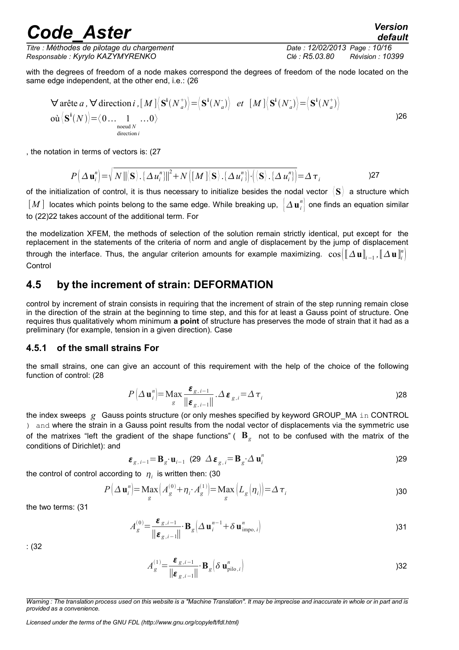*Titre : Méthodes de pilotage du chargement Date : 12/02/2013 Page : 10/16 Responsable : Kyrylo KAZYMYRENKO Clé : R5.03.80 Révision : 10399*

with the degrees of freedom of a node makes correspond the degrees of freedom of the node located on the same edge independent, at the other end, i.e.: (26

$$
\forall \text{arête } a, \forall \text{direction } i, [M] \langle \mathbf{S}^i(N_a^+) \rangle = \langle \mathbf{S}^i(N_a^+) \rangle \quad et \quad [M] \langle \mathbf{S}^i(N_a^-) \rangle = \langle \mathbf{S}^i(N_a^+) \rangle
$$
  
 
$$
\text{ou} \langle \mathbf{S}^i(N) \rangle = \langle 0 \dots 1 \dots 0 \rangle
$$
  
\n<sub>duced *N*</sub> (1000)  
\n<sub>direction *i*</sub> (1111)

, the notation in terms of vectors is: (27

$$
P\left(\Delta\mathbf{u}_{i}^{n}\right)=\sqrt{N\left\|\left\langle \mathbf{S}\right\rangle ,\left\{\Delta u_{i}^{n}\right\}\right\|^{2}}+N\left(\left\lceil M\right\rceil \left\langle \mathbf{S}\right\rangle ,\left\{\Delta u_{i}^{n}\right\}\right)\cdot\left(\left\langle \mathbf{S}\right\rangle ,\left\{\Delta u_{i}^{n}\right\}\right)=\Delta\tau_{i}
$$
\n(27)

of the initialization of control, it is thus necessary to initialize besides the nodal vector 〈 **S**〉 a structure which  $[M]$  locates which points belong to the same edge. While breaking up,  $\left|\varDelta\mathbf{u}_i^n\right|$  one finds an equation similar to (22[\)22](#page-8-1) takes account of the additional term. For

the modelization XFEM, the methods of selection of the solution remain strictly identical, put except for the replacement in the statements of the criteria of norm and angle of displacement by the jump of displacement through the interface. Thus, the angular criterion amounts for example maximizing.  $\cos(\llbracket\Delta\textbf{u}\rrbracket_{i-1}^n,\llbracket\Delta\textbf{u}\rrbracket_i^n)$ **Control** 

### **4.5 by the increment of strain: DEFORMATION**

control by increment of strain consists in requiring that the increment of strain of the step running remain close in the direction of the strain at the beginning to time step, and this for at least a Gauss point of structure. One requires thus qualitatively whom minimum **a point** of structure has preserves the mode of strain that it had as a preliminary (for example, tension in a given direction). Case

#### **4.5.1 of the small strains For**

the small strains, one can give an account of this requirement with the help of the choice of the following function of control: (28

<span id="page-9-1"></span>
$$
P\left(\Delta \mathbf{u}_{i}^{n}\right) = \operatorname{Max}_{g} \frac{\boldsymbol{\varepsilon}_{g,i-1}}{\|\boldsymbol{\varepsilon}_{g,i-1}\|} \cdot \Delta \boldsymbol{\varepsilon}_{g,i} = \Delta \tau_{i}
$$

the index sweeps g Gauss points structure (or only meshes specified by keyword GROUP MA in CONTROL ) and where the strain in a Gauss point results from the nodal vector of displacements via the symmetric use of the matrixes "left the gradient of the shape functions" ( **B***<sup>g</sup>* not to be confused with the matrix of the conditions of Dirichlet): and

$$
\boldsymbol{\varepsilon}_{g,i-1} = \mathbf{B}_g \cdot \mathbf{u}_{i-1} \tag{29} \Delta \boldsymbol{\varepsilon}_{g,i} = \mathbf{B}_g \cdot \Delta \mathbf{u}_i^n
$$

the control of control according to  $\eta_i$  is written then: (30

$$
P\left(\Delta \mathbf{u}_{i}^{n}\right) = \underset{g}{\text{Max}}\left(A_{g}^{(0)} + \eta_{i} \cdot A_{g}^{(1)}\right) = \underset{g}{\text{Max}}\left(L_{g}\left(\eta_{i}\right)\right) = \Delta \tau_{i}
$$
\n(30)

the two terms: (31

$$
A_g^{(0)} = \frac{\boldsymbol{\varepsilon}_{g,i-1}}{\|\boldsymbol{\varepsilon}_{g,i-1}\|} \cdot \mathbf{B}_g \Big(\Delta \mathbf{u}_i^{n-1} + \delta \mathbf{u}_{\text{impo},i}^n\Big)
$$

: (32

<span id="page-9-0"></span>
$$
A_g^{(1)} = \frac{\boldsymbol{\varepsilon}_{g,i-1}}{\|\boldsymbol{\varepsilon}_{g,i-1}\|} \mathbf{B}_g \Big( \delta \mathbf{u}_{\text{pilo},i}^n \Big)
$$

*Licensed under the terms of the GNU FDL (http://www.gnu.org/copyleft/fdl.html)*

*Warning : The translation process used on this website is a "Machine Translation". It may be imprecise and inaccurate in whole or in part and is provided as a convenience.*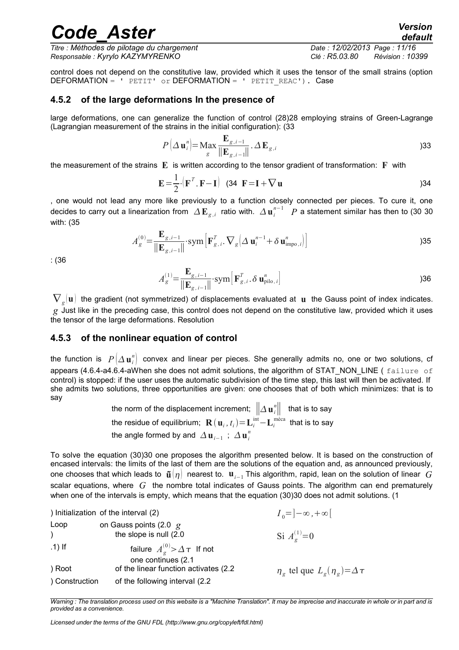*Titre : Méthodes de pilotage du chargement Date : 12/02/2013 Page : 11/16 Responsable : Kyrylo KAZYMYRENKO Clé : R5.03.80 Révision : 10399*

control does not depend on the constitutive law, provided which it uses the tensor of the small strains (option DEFORMATION =  $'$  PETIT' or DEFORMATION = ' PETIT REAC'). Case

#### **4.5.2 of the large deformations In the presence of**

large deformations, one can generalize the function of control (28[\)28](#page-9-1) employing strains of Green-Lagrange (Lagrangian measurement of the strains in the initial configuration): (33

$$
P\left(\Delta \mathbf{u}_{i}^{n}\right) = \mathbf{M}\mathbf{a}\mathbf{x} \frac{\mathbf{E}_{g,i-1}}{\|\mathbf{E}_{g,i-1}\|} \cdot \Delta \mathbf{E}_{g,i}
$$
\n(33)

the measurement of the strains **E** is written according to the tensor gradient of transformation: **F** with

$$
\mathbf{E} = \frac{1}{2} \cdot (\mathbf{F}^T \cdot \mathbf{F} - \mathbf{I}) \quad (34 \quad \mathbf{F} = \mathbf{I} + \nabla \mathbf{u})
$$

, one would not lead any more like previously to a function closely connected per pieces. To cure it, one decides to carry out a linearization from  $\;\Delta\,{\bf E}_{g,i}\;$  ratio with.  $\;\Delta\,{\bf u}_i^{\,n-1}\;$   $P$  a statement similar has then to ([30](#page-9-0) 30 with: (35

$$
A_g^{(0)} = \frac{\mathbf{E}_{g,i-1}}{\|\mathbf{E}_{g,i-1}\|} \cdot \text{sym}\left[\mathbf{F}_{g,i}^T \cdot \nabla_g \left(\Delta \mathbf{u}_i^{n-1} + \delta \mathbf{u}_{\text{impo},i}^n\right)\right]
$$

: (36

$$
A_g^{(1)} = \frac{\mathbf{E}_{g,i-1}}{\|\mathbf{E}_{g,i-1}\|} \cdot \text{sym}\left[\mathbf{F}_{g,i}^T \cdot \delta \mathbf{u}_{\text{pilo},i}^n\right]
$$

 $\nabla_{g}(\mathbf{u})$  the gradient (not symmetrized) of displacements evaluated at  $\,\mathbf{u}\,$  the Gauss point of index indicates. *g* Just like in the preceding case, this control does not depend on the constitutive law, provided which it uses the tensor of the large deformations. Resolution

#### <span id="page-10-0"></span>**4.5.3 of the nonlinear equation of control**

the function is  $\;P\big(\Delta\,\mathbf{u}_i^n\big)\;$  convex and linear per pieces. She generally admits no, one or two solutions, cf appears  $(4.6.4$ -[a4.6.4-aW](#page-14-0)hen she does not admit solutions, the algorithm of STAT\_NON\_LINE ( $f$ ailure of control) is stopped: if the user uses the automatic subdivision of the time step, this last will then be activated. If she admits two solutions, three opportunities are given: one chooses that of both which minimizes: that is to say

> the norm of the displacement increment;  $\left\| \varDelta\,\mathbf{u}_\emph{i}\right\| \,\,\,$  that is to say the residue of equilibrium;  $\mathbf{R}\left(\mathbf{u}_{i}, t_{i}\right)\!=\!\mathbf{L}_{i}^{\text{int}}\!\!-\!\mathbf{L}_{i}^{\text{m\'eca}}$  that is to say the angle formed by and  $\vert\mathbf{\Delta u}_{i-1}\vert$  ;  $\vert\mathbf{\Delta u}_{i}^{n}\vert$

To solve the equation (30[\)30](#page-9-0) one proposes the algorithm presented below. It is based on the construction of encased intervals: the limits of the last of them are the solutions of the equation and, as announced previously, one chooses that which leads to  $\tilde{\mathbf{u}}[\eta]$  nearest to.  $\mathbf{u}_{i-1}$  This algorithm, rapid, lean on the solution of linear *G* scalar equations, where *G* the nombre total indicates of Gauss points. The algorithm can end prematurely when one of the intervals is empty, which means that the equation (30[\)30](#page-9-0) does not admit solutions. (1

) Initialization of the interval (2) *I* <sup>0</sup>=]−∞ *,*∞[ Loop on Gauss points (2.0 *g* ) the slope is null (2.0 Si  $A_{\alpha}^{(1)}=0$ .1) If failure  $A_g^{(0)}$ > $\Delta \tau$  If not one continues (2.1 ) Root **of the linear function activates (2.2** tel que  $L_g(\eta_g) = \Delta \tau$ ) Construction of the following interval (2.2

*Warning : The translation process used on this website is a "Machine Translation". It may be imprecise and inaccurate in whole or in part and is provided as a convenience.*

*Licensed under the terms of the GNU FDL (http://www.gnu.org/copyleft/fdl.html)*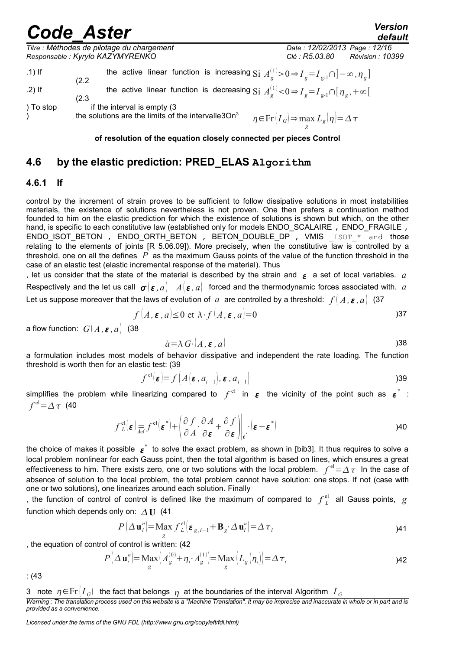*default*

*Titre : Méthodes de pilotage du chargement Date : 12/02/2013 Page : 12/16 Responsable : Kyrylo KAZYMYRENKO Clé : R5.03.80 Révision : 10399*

| $.1)$ If  | the active linear function is increasing $\text{Si } A_{\varphi}^{(1)} > 0 \Rightarrow I_{g} = I_{g-1} \cap ]-\infty, \eta_{g}$                                   |  |
|-----------|-------------------------------------------------------------------------------------------------------------------------------------------------------------------|--|
| $.2)$ If  | (2.2)<br>the active linear function is decreasing $\text{Si } A_{\varphi}^{(1)} < 0 \Rightarrow I_{g} = I_{g-1} \cap [ \eta_{g}, +\infty[$<br>(2.3)               |  |
| ) To stop | if the interval is empty (3)<br>the solutions are the limits of the intervalle3On <sup>3</sup><br>$\eta \in$ Fr $(I_G) \Rightarrow$ max $L_g(\eta) = \Delta \tau$ |  |

**of resolution of the equation closely connected per pieces Control**

### **4.6 by the elastic prediction: PRED\_ELAS Algorithm**

#### **4.6.1 If**

control by the increment of strain proves to be sufficient to follow dissipative solutions in most instabilities materials, the existence of solutions nevertheless is not proven. One then prefers a continuation method founded to him on the elastic prediction for which the existence of solutions is shown but which, on the other hand, is specific to each constitutive law (established only for models ENDO SCALAIRE , ENDO FRAGILE , ENDO\_ISOT\_BETON , ENDO\_ORTH\_BETON , BETON\_DOUBLE\_DP , VMIS \_ISOT\_\* and those relating to the elements of joints  $[$ R 5.06.09]). More precisely, when the constitutive law is controlled by a threshold, one on all the defines *P* as the maximum Gauss points of the value of the function threshold in the case of an elastic test (elastic incremental response of the material). Thus

, let us consider that the state of the material is described by the strain and  $\epsilon$  a set of local variables.  $a$ Respectively and the let us call  $\sigma(\varepsilon, a)$   $A(\varepsilon, a)$  forced and the thermodynamic forces associated with. *a* Let us suppose moreover that the laws of evolution of *a* are controlled by a threshold:  $f(A, \varepsilon, a)$  (37)

$$
f(A, \varepsilon, a) \le 0 \text{ et } \lambda \cdot f(A, \varepsilon, a) = 0
$$

a flow function:  $G[A, \varepsilon, a]$  (38

$$
\dot{a} = \lambda \, G \cdot \big( A \, , \, \varepsilon \, , \, a \big) \tag{38}
$$

a formulation includes most models of behavior dissipative and independent the rate loading. The function threshold is worth then for an elastic test: (39

$$
f^{\text{el}}(\boldsymbol{\varepsilon}) = f(A(\boldsymbol{\varepsilon}, a_{i-1}), \boldsymbol{\varepsilon}, a_{i-1})
$$

simplifies the problem while linearizing compared to  $f^{\text{el}}$  in  $\bm{\varepsilon}$  the vicinity of the point such as  $\bm{\varepsilon}^*$  :  $f^{\text{el}}$   $=$   $\Delta$   $\tau$   $\,$  (40  $\,$ 

$$
f_L^{\text{el}}(\boldsymbol{\varepsilon}) \underset{\text{def}}{=} f^{\text{el}}(\boldsymbol{\varepsilon}^*) + \left( \frac{\partial f}{\partial A} \cdot \frac{\partial A}{\partial \boldsymbol{\varepsilon}} + \frac{\partial f}{\partial \boldsymbol{\varepsilon}} \right) \Big|_{\boldsymbol{\varepsilon}^*} \cdot (\boldsymbol{\varepsilon} - \boldsymbol{\varepsilon}^*)
$$

the choice of makes it possible  $\epsilon^*$  to solve the exact problem, as shown in [bib3]. It thus requires to solve a local problem nonlinear for each Gauss point, then the total algorithm is based on lines, which ensures a great effectiveness to him. There exists zero, one or two solutions with the local problem.  $\int^{el} = \Delta \, \tau$  In the case of absence of solution to the local problem, the total problem cannot have solution: one stops. If not (case with one or two solutions), one linearizes around each solution. Finally

, the function of control of control is defined like the maximum of compared to  $f^{\text{el}}_L$  all Gauss points,  $g$ function which depends only on:  $\triangle$  **U** (41)

<span id="page-11-1"></span>
$$
P\left(\Delta \mathbf{u}_{i}^{n}\right) = \underset{g}{\text{Max}} \mathbf{f}_{L}^{\text{el}}\left(\boldsymbol{\varepsilon}_{g,i-1} + \mathbf{B}_{g} \cdot \Delta \mathbf{u}_{i}^{n}\right) = \Delta \tau_{i}
$$

, the equation of control of control is written: (42

$$
P\left(\Delta \mathbf{u}_{i}^{n}\right) = \underset{g}{\text{Max}}\left(A_{g}^{(0)} + \eta_{i} \cdot A_{g}^{(1)}\right) = \underset{g}{\text{Max}}\left(L_{g}\left(\eta_{i}\right)\right) = \Delta \tau_{i}
$$
\n(14)

: (43

<span id="page-11-0"></span><sup>3</sup> note  $\eta \in \text{Fr}[I_G]$  the fact that belongs  $\eta$  at the boundaries of the interval Algorithm  $I_G$ 

*Warning : The translation process used on this website is a "Machine Translation". It may be imprecise and inaccurate in whole or in part and is provided as a convenience.*

*Licensed under the terms of the GNU FDL (http://www.gnu.org/copyleft/fdl.html)*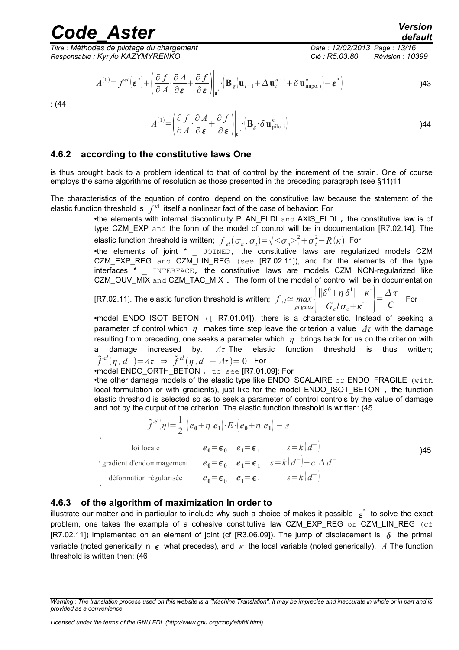*Titre : Méthodes de pilotage du chargement Date : 12/02/2013 Page : 13/16 Responsable : Kyrylo KAZYMYRENKO Clé : R5.03.80 Révision : 10399*

$$
A^{(0)} = f^{el}(\boldsymbol{\varepsilon}^*) + \left(\frac{\partial f}{\partial A} \cdot \frac{\partial A}{\partial \boldsymbol{\varepsilon}} + \frac{\partial f}{\partial \boldsymbol{\varepsilon}}\right)_{\boldsymbol{\varepsilon}^*} \cdot \left(\mathbf{B}_g(\mathbf{u}_{i-1} + \Delta \mathbf{u}_i^{n-1} + \delta \mathbf{u}_{\text{impo},i}^n) - \boldsymbol{\varepsilon}^*\right)
$$

: (44

$$
A^{(1)} = \left(\frac{\partial f}{\partial A} \cdot \frac{\partial A}{\partial \boldsymbol{\varepsilon}} + \frac{\partial f}{\partial \boldsymbol{\varepsilon}}\right)\Big|_{\boldsymbol{\varepsilon}} \cdot \left(\mathbf{B}_{g} \cdot \delta \mathbf{u}_{\text{pilo},i}^{n}\right) \tag{44}
$$

#### **4.6.2 according to the constitutive laws One**

is thus brought back to a problem identical to that of control by the increment of the strain. One of course employs the same algorithms of resolution as those presented in the preceding paragraph (see §11[\)11](#page-10-0)

The characteristics of the equation of control depend on the constitutive law because the statement of the elastic function threshold is  $|f^{\text{el}}|$  itself a nonlinear fact of the case of behavior: For

•the elements with internal discontinuity PLAN\_ELDI and AXIS\_ELDI , the constitutive law is of type CZM\_EXP and the form of the model of control will be in documentation [R7.02.14]. The elastic function threshold is written;  $\left|f\right|_{el}(\sigma_n,\sigma_t) {=} \sqrt{<\!\sigma_n\!>^2_+}\!+\!\sigma_t^2{-} R(\kappa)$  For

•the elements of joint \* \_ JOINED, the constitutive laws are regularized models CZM CZM\_EXP\_REG and CZM\_LIN\_REG (see [R7.02.11]), and for the elements of the type interfaces \* \_ INTERFACE, the constitutive laws are models CZM NON-regularized like CZM\_OUV\_MIX and CZM\_TAC\_MIX . The form of the model of control will be in documentation

[R7.02.11]. The elastic function threshold is written;  $f_{el} \approx \frac{max}{p} |\frac{dV}{gauss}|$  $\|\delta^0 + \eta \delta^1\| - \kappa$  $\left| \frac{\partial^0 + \eta \, \delta^1 \left| \right| - \kappa}{G_c / \sigma_c + \kappa} \right| = \frac{\Delta \tau}{C}$  $\frac{1}{C}$  For

•model ENDO ISOT BETON ([ R7.01.04]), there is a characteristic. Instead of seeking a parameter of control which *η* makes time step leave the criterion a value *Δτ* with the damage resulting from preceding, one seeks a parameter which *η* brings back for us on the criterion with a damage increased by. *Δτ* The elastic function threshold is thus written;  $\tilde{f}^{el}(\eta, d^-)$   $=$   $\varDelta \tau$   $\Rightarrow$   $\tilde{f}^{el}(\eta, d^ +$   $\varDelta \tau$   $)=$   $0$   $\;$  For

•model ENDO\_ORTH\_BETON , to see [R7.01.09]; For

•the other damage models of the elastic type like ENDO\_SCALAIRE or ENDO\_FRAGILE (with local formulation or with gradients), just like for the model ENDO\_ISOT\_BETON, the function elastic threshold is selected so as to seek a parameter of control controls by the value of damage and not by the output of the criterion. The elastic function threshold is written: (45

$$
\tilde{\mathcal{F}}^{\text{el}}(\eta) = \frac{1}{2} \left( e_0 + \eta \ e_1 \right) \cdot \mathbf{E} \cdot \left( e_0 + \eta \ e_1 \right) - s
$$
\nloi locale

\n
$$
e_0 = \epsilon_0 \quad e_1 = \epsilon_1 \quad s = k \left( d^- \right)
$$
\ngradient d'endommagement

\n
$$
e_0 = \epsilon_0 \quad e_1 = \epsilon_1 \quad s = k \left( d^- \right) - c \Delta d^-
$$
\ndéformation régularisée

\n
$$
e_0 = \bar{\epsilon}_0 \quad e_1 = \bar{\epsilon}_1 \quad s = k \left( d^- \right)
$$

#### **4.6.3 of the algorithm of maximization In order to**

illustrate our matter and in particular to include why such a choice of makes it possible  $\epsilon^*$  to solve the exact problem, one takes the example of a cohesive constitutive law CZM EXP REG  $\circ$ r CZM LIN REG (cf [R7.02.11]) implemented on an element of joint (cf [R3.06.09]). The jump of displacement is  $\delta$  the primal variable (noted generically in  $\epsilon$  what precedes), and  $\kappa$  the local variable (noted generically). A The function threshold is written then: (46

*Warning : The translation process used on this website is a "Machine Translation". It may be imprecise and inaccurate in whole or in part and is provided as a convenience.*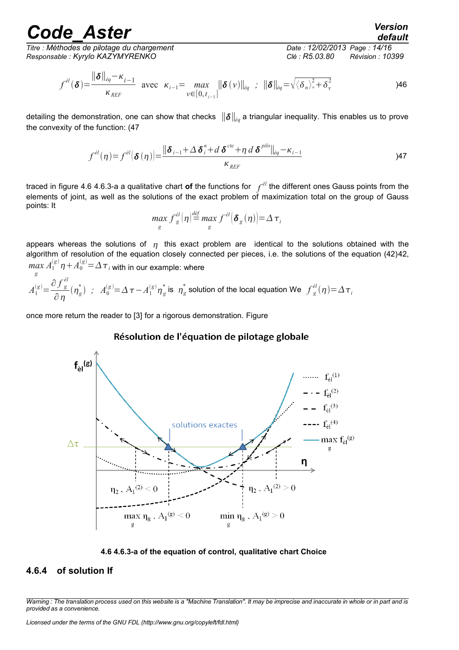*Titre : Méthodes de pilotage du chargement Date : 12/02/2013 Page : 14/16 Responsable : Kyrylo KAZYMYRENKO Clé : R5.03.80 Révision : 10399*

*default*

$$
f^{\dot{e}l}(\boldsymbol{\delta}) = \frac{\|\boldsymbol{\delta}\|_{\dot{e}q} - \kappa_{i-1}}{\kappa_{REF}} \text{ avec } \kappa_{i-1} = \max_{v \in [0, t_{i-1}]} \|\boldsymbol{\delta}(v)\|_{\dot{e}q} \; ; \; \|\boldsymbol{\delta}\|_{\dot{e}q} = \sqrt{\langle \delta_n \rangle^2 + \delta_n^2}
$$

detailing the demonstration, one can show that checks ∥∥*èq* a triangular inequality. This enables us to prove the convexity of the function: (47

$$
f^{\dot{e}l}(\eta) = f^{\dot{e}l}(\delta(\eta)) = \frac{\|\delta_{i-1} + \Delta \delta_i^n + d \delta^{cte} + \eta d \delta^{pilo}\|_{\dot{e}q} - \kappa_{i-1}}{\kappa_{REF}}
$$

traced in figure 4.6 [4.6.3-a](#page-13-0) a qualitative chart **of** the functions for *f èl* the different ones Gauss points from the elements of joint, as well as the solutions of the exact problem of maximization total on the group of Gauss points: It

$$
\max_{g} f_{g}^{el}(\eta) \stackrel{def}{=} \max_{g} f^{el}(\boldsymbol{\delta}_{g}(\eta)) = \Delta \tau_{i}
$$

appears whereas the solutions of  $\eta$  this exact problem are identical to the solutions obtained with the algorithm of resolution of the equation closely connected per pieces, i.e. the solutions of the equation (42[\)42,](#page-11-1)  $\max_{g} A_{1}^{(g)} \eta + A_{0}^{(g)}$   $=$   $\Delta$   $\tau$   $_{i}$  with in our example: where

$$
A_1^{(g)} = \frac{\partial f_g^{el}}{\partial \eta}(\eta_g^*) \; ; \; A_0^{(g)} = \Delta \tau - A_1^{(g)} \eta_g^* \; \text{is} \; \; \eta_g^* \; \text{solution of the local equation We} \; f_g^{el}(\eta) = \Delta \tau_i
$$

once more return the reader to [3] for a rigorous demonstration. Figure

#### Résolution de l'équation de pilotage globale



<span id="page-13-0"></span>

#### **4.6.4 of solution If**

*Warning : The translation process used on this website is a "Machine Translation". It may be imprecise and inaccurate in whole or in part and is provided as a convenience.*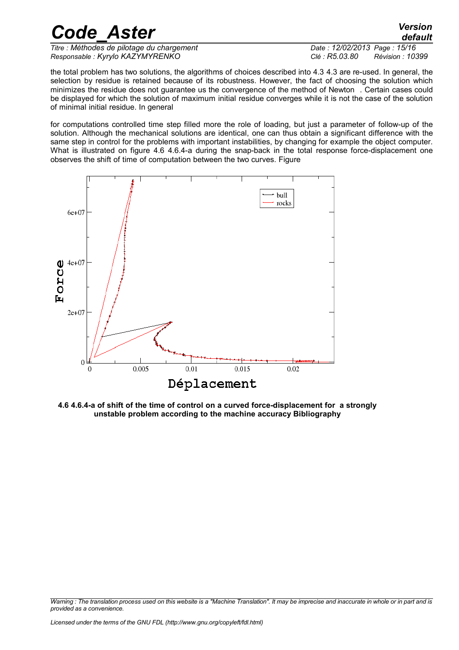*Titre : Méthodes de pilotage du chargement Date : 12/02/2013 Page : 15/16 Responsable : Kyrylo KAZYMYRENKO Clé : R5.03.80 Révision : 10399*

the total problem has two solutions, the algorithms of choices described into 4.3 [4.3](#page-8-2) are re-used. In general, the selection by residue is retained because of its robustness. However, the fact of choosing the solution which minimizes the residue does not guarantee us the convergence of the method of Newton . Certain cases could be displayed for which the solution of maximum initial residue converges while it is not the case of the solution of minimal initial residue. In general

for computations controlled time step filled more the role of loading, but just a parameter of follow-up of the solution. Although the mechanical solutions are identical, one can thus obtain a significant difference with the same step in control for the problems with important instabilities, by changing for example the object computer. What is illustrated on figure 4.6 [4.6.4-a](#page-14-0) during the snap-back in the total response force-displacement one observes the shift of time of computation between the two curves. Figure



<span id="page-14-0"></span>**4.6 4.6.4-a of shift of the time of control on a curved force-displacement for a strongly unstable problem according to the machine accuracy Bibliography**

*Code\_Aster Version*

*Warning : The translation process used on this website is a "Machine Translation". It may be imprecise and inaccurate in whole or in part and is provided as a convenience.*